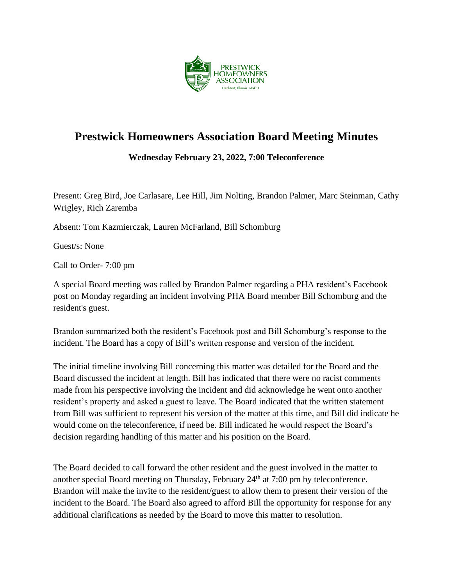

## **Prestwick Homeowners Association Board Meeting Minutes**

**Wednesday February 23, 2022, 7:00 Teleconference**

Present: Greg Bird, Joe Carlasare, Lee Hill, Jim Nolting, Brandon Palmer, Marc Steinman, Cathy Wrigley, Rich Zaremba

Absent: Tom Kazmierczak, Lauren McFarland, Bill Schomburg

Guest/s: None

Call to Order- 7:00 pm

A special Board meeting was called by Brandon Palmer regarding a PHA resident's Facebook post on Monday regarding an incident involving PHA Board member Bill Schomburg and the resident's guest.

Brandon summarized both the resident's Facebook post and Bill Schomburg's response to the incident. The Board has a copy of Bill's written response and version of the incident.

The initial timeline involving Bill concerning this matter was detailed for the Board and the Board discussed the incident at length. Bill has indicated that there were no racist comments made from his perspective involving the incident and did acknowledge he went onto another resident's property and asked a guest to leave. The Board indicated that the written statement from Bill was sufficient to represent his version of the matter at this time, and Bill did indicate he would come on the teleconference, if need be. Bill indicated he would respect the Board's decision regarding handling of this matter and his position on the Board.

The Board decided to call forward the other resident and the guest involved in the matter to another special Board meeting on Thursday, February  $24<sup>th</sup>$  at 7:00 pm by teleconference. Brandon will make the invite to the resident/guest to allow them to present their version of the incident to the Board. The Board also agreed to afford Bill the opportunity for response for any additional clarifications as needed by the Board to move this matter to resolution.